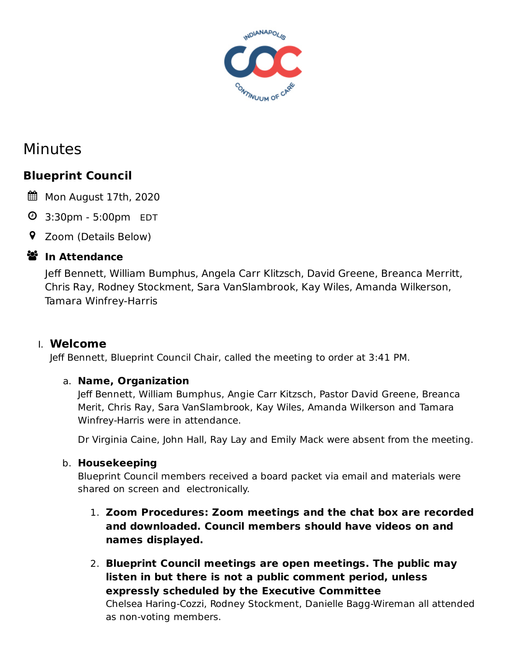

# Minutes

## **Blueprint Council**

- Mon August 17th, 2020
- 3:30pm 5:00pm EDT
- Zoom (Details Below)

## **ジ** In Attendance

Jeff Bennett, William Bumphus, Angela Carr Klitzsch, David Greene, Breanca Merritt, Chris Ray, Rodney Stockment, Sara VanSlambrook, Kay Wiles, Amanda Wilkerson, Tamara Winfrey-Harris

## I. **Welcome**

Jeff Bennett, Blueprint Council Chair, called the meeting to order at 3:41 PM.

#### a. **Name, Organization**

Jeff Bennett, William Bumphus, Angie Carr Kitzsch, Pastor David Greene, Breanca Merit, Chris Ray, Sara VanSlambrook, Kay Wiles, Amanda Wilkerson and Tamara Winfrey-Harris were in attendance.

Dr Virginia Caine, John Hall, Ray Lay and Emily Mack were absent from the meeting.

#### b. **Housekeeping**

Blueprint Council members received a board packet via email and materials were shared on screen and electronically.

- 1. **Zoom Procedures: Zoom meetings and the chat box are recorded and downloaded. Council members should have videos on and names displayed.**
- 2. **Blueprint Council meetings are open meetings. The public may listen in but there is not a public comment period, unless expressly scheduled by the Executive Committee**

Chelsea Haring-Cozzi, Rodney Stockment, Danielle Bagg-Wireman all attended as non-voting members.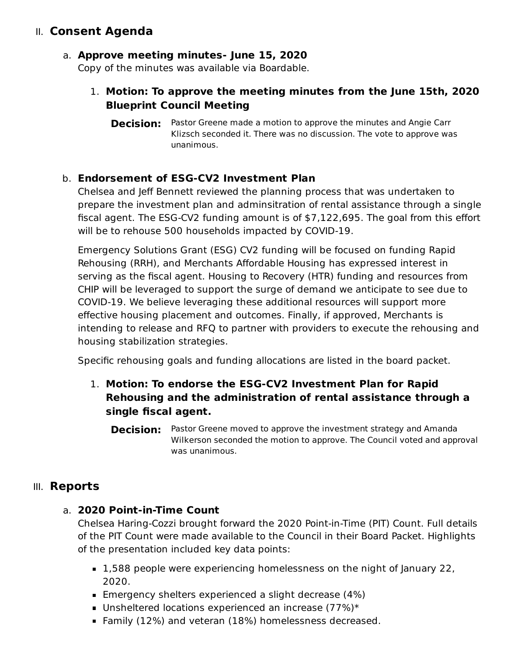## II. **Consent Agenda**

#### a. **Approve meeting minutes- June 15, 2020**

Copy of the minutes was available via Boardable.

#### 1. **Motion: To approve the meeting minutes from the June 15th, 2020 Blueprint Council Meeting**

**Decision:** Pastor Greene made a motion to approve the minutes and Angie Carr Klizsch seconded it. There was no discussion. The vote to approve was unanimous.

#### b. **Endorsement of ESG-CV2 Investment Plan**

Chelsea and Jeff Bennett reviewed the planning process that was undertaken to prepare the investment plan and adminsitration of rental assistance through a single fiscal agent. The ESG-CV2 funding amount is of \$7,122,695. The goal from this effort will be to rehouse 500 households impacted by COVID-19.

Emergency Solutions Grant (ESG) CV2 funding will be focused on funding Rapid Rehousing (RRH), and Merchants Affordable Housing has expressed interest in serving as the fiscal agent. Housing to Recovery (HTR) funding and resources from CHIP will be leveraged to support the surge of demand we anticipate to see due to COVID-19. We believe leveraging these additional resources will support more effective housing placement and outcomes. Finally, if approved, Merchants is intending to release and RFQ to partner with providers to execute the rehousing and housing stabilization strategies.

Specific rehousing goals and funding allocations are listed in the board packet.

- 1. **Motion: To endorse the ESG-CV2 Investment Plan for Rapid Rehousing and the administration of rental assistance through a single fiscal agent.**
	- **Decision:** Pastor Greene moved to approve the investment strategy and Amanda Wilkerson seconded the motion to approve. The Council voted and approval was unanimous.

## III. **Reports**

#### a. **2020 Point-in-Time Count**

Chelsea Haring-Cozzi brought forward the 2020 Point-in-Time (PIT) Count. Full details of the PIT Count were made available to the Council in their Board Packet. Highlights of the presentation included key data points:

- 1,588 people were experiencing homelessness on the night of January 22, 2020.
- **Emergency shelters experienced a slight decrease (4%)**
- Unsheltered locations experienced an increase  $(77%)^*$
- Family (12%) and veteran (18%) homelessness decreased.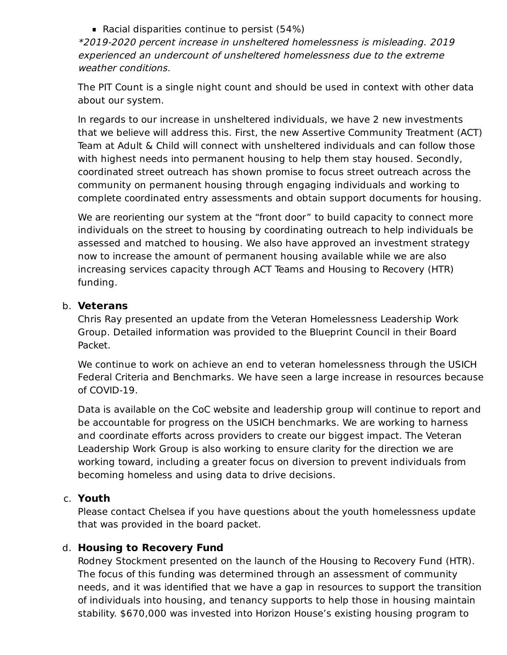Racial disparities continue to persist (54%)

\*2019-2020 percent increase in unsheltered homelessness is misleading. 2019 experienced an undercount of unsheltered homelessness due to the extreme weather conditions.

The PIT Count is a single night count and should be used in context with other data about our system.

In regards to our increase in unsheltered individuals, we have 2 new investments that we believe will address this. First, the new Assertive Community Treatment (ACT) Team at Adult & Child will connect with unsheltered individuals and can follow those with highest needs into permanent housing to help them stay housed. Secondly, coordinated street outreach has shown promise to focus street outreach across the community on permanent housing through engaging individuals and working to complete coordinated entry assessments and obtain support documents for housing.

We are reorienting our system at the "front door" to build capacity to connect more individuals on the street to housing by coordinating outreach to help individuals be assessed and matched to housing. We also have approved an investment strategy now to increase the amount of permanent housing available while we are also increasing services capacity through ACT Teams and Housing to Recovery (HTR) funding.

#### b. **Veterans**

Chris Ray presented an update from the Veteran Homelessness Leadership Work Group. Detailed information was provided to the Blueprint Council in their Board Packet.

We continue to work on achieve an end to veteran homelessness through the USICH Federal Criteria and Benchmarks. We have seen a large increase in resources because of COVID-19.

Data is available on the CoC website and leadership group will continue to report and be accountable for progress on the USICH benchmarks. We are working to harness and coordinate efforts across providers to create our biggest impact. The Veteran Leadership Work Group is also working to ensure clarity for the direction we are working toward, including a greater focus on diversion to prevent individuals from becoming homeless and using data to drive decisions.

#### c. **Youth**

Please contact Chelsea if you have questions about the youth homelessness update that was provided in the board packet.

#### d. **Housing to Recovery Fund**

Rodney Stockment presented on the launch of the Housing to Recovery Fund (HTR). The focus of this funding was determined through an assessment of community needs, and it was identified that we have a gap in resources to support the transition of individuals into housing, and tenancy supports to help those in housing maintain stability. \$670,000 was invested into Horizon House's existing housing program to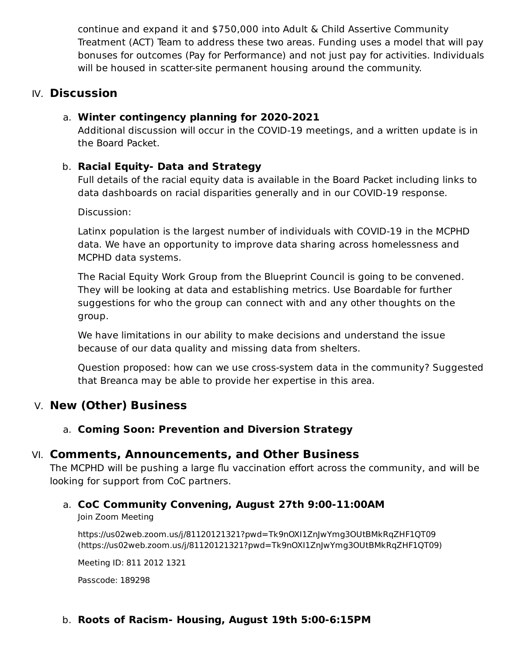continue and expand it and \$750,000 into Adult & Child Assertive Community Treatment (ACT) Team to address these two areas. Funding uses a model that will pay bonuses for outcomes (Pay for Performance) and not just pay for activities. Individuals will be housed in scatter-site permanent housing around the community.

## IV. **Discussion**

#### a. **Winter contingency planning for 2020-2021**

Additional discussion will occur in the COVID-19 meetings, and a written update is in the Board Packet.

#### b. **Racial Equity- Data and Strategy**

Full details of the racial equity data is available in the Board Packet including links to data dashboards on racial disparities generally and in our COVID-19 response.

Discussion:

Latinx population is the largest number of individuals with COVID-19 in the MCPHD data. We have an opportunity to improve data sharing across homelessness and MCPHD data systems.

The Racial Equity Work Group from the Blueprint Council is going to be convened. They will be looking at data and establishing metrics. Use Boardable for further suggestions for who the group can connect with and any other thoughts on the group.

We have limitations in our ability to make decisions and understand the issue because of our data quality and missing data from shelters.

Question proposed: how can we use cross-system data in the community? Suggested that Breanca may be able to provide her expertise in this area.

## V. **New (Other) Business**

## a. **Coming Soon: Prevention and Diversion Strategy**

## VI. **Comments, Announcements, and Other Business**

The MCPHD will be pushing a large flu vaccination effort across the community, and will be looking for support from CoC partners.

## a. **CoC Community Convening, August 27th 9:00-11:00AM**

Join Zoom Meeting

https://us02web.zoom.us/j/81120121321?pwd=Tk9nOXI1ZnJwYmg3OUtBMkRqZHF1QT09 [\(https://us02web.zoom.us/j/81120121321?pwd=Tk9nOXI1ZnJwYmg3OUtBMkRqZHF1QT09\)](https://us02web.zoom.us/j/81120121321?pwd=Tk9nOXI1ZnJwYmg3OUtBMkRqZHF1QT09)

Meeting ID: 811 2012 1321

Passcode: 189298

## b. **Roots of Racism- Housing, August 19th 5:00-6:15PM**